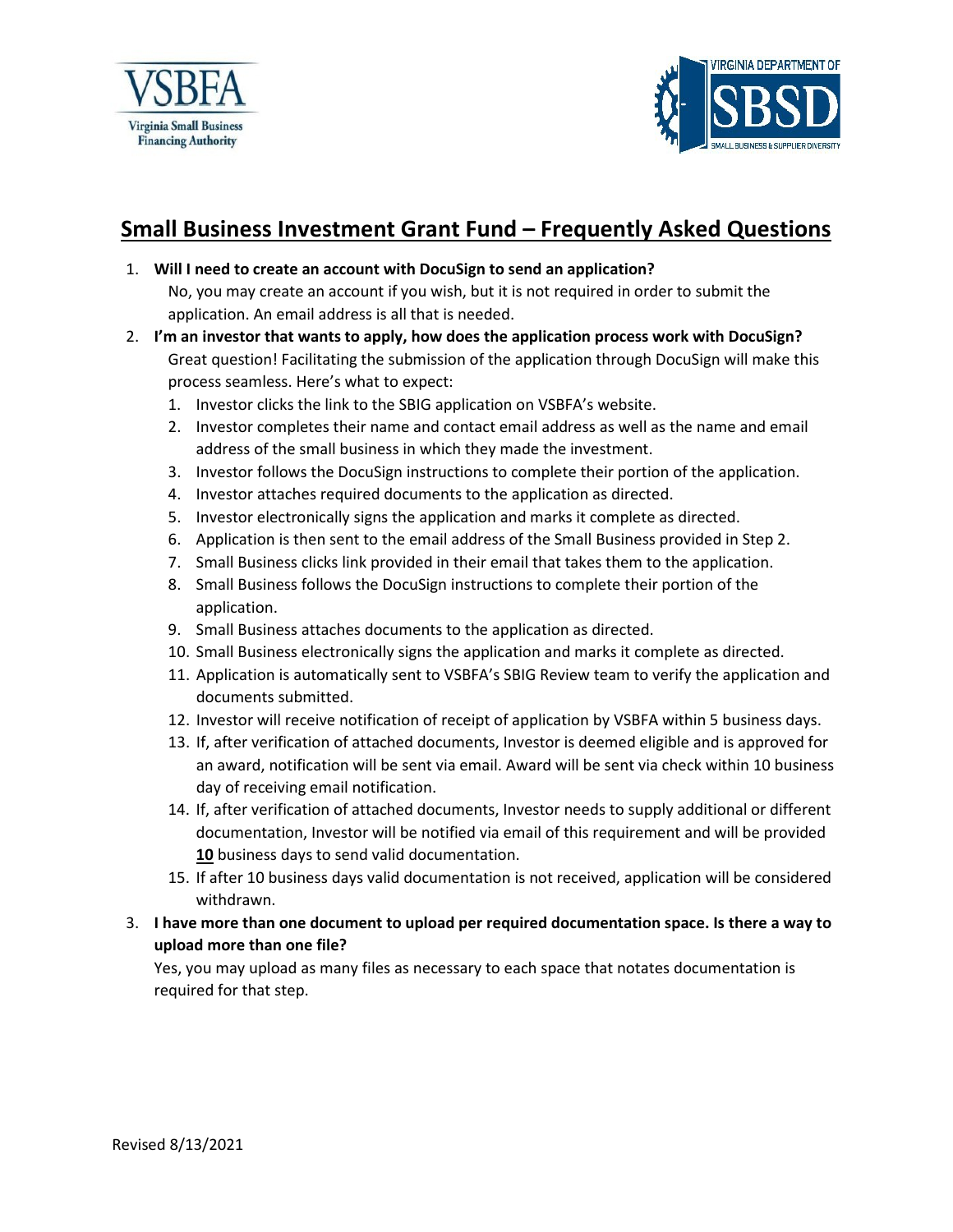



## **Small Business Investment Grant Fund – Frequently Asked Questions**

1. **Will I need to create an account with DocuSign to send an application?**

No, you may create an account if you wish, but it is not required in order to submit the application. An email address is all that is needed.

- 2. **I'm an investor that wants to apply, how does the application process work with DocuSign?** Great question! Facilitating the submission of the application through DocuSign will make this process seamless. Here's what to expect:
	- 1. Investor clicks the link to the SBIG application on VSBFA's website.
	- 2. Investor completes their name and contact email address as well as the name and email address of the small business in which they made the investment.
	- 3. Investor follows the DocuSign instructions to complete their portion of the application.
	- 4. Investor attaches required documents to the application as directed.
	- 5. Investor electronically signs the application and marks it complete as directed.
	- 6. Application is then sent to the email address of the Small Business provided in Step 2.
	- 7. Small Business clicks link provided in their email that takes them to the application.
	- 8. Small Business follows the DocuSign instructions to complete their portion of the application.
	- 9. Small Business attaches documents to the application as directed.
	- 10. Small Business electronically signs the application and marks it complete as directed.
	- 11. Application is automatically sent to VSBFA's SBIG Review team to verify the application and documents submitted.
	- 12. Investor will receive notification of receipt of application by VSBFA within 5 business days.
	- 13. If, after verification of attached documents, Investor is deemed eligible and is approved for an award, notification will be sent via email. Award will be sent via check within 10 business day of receiving email notification.
	- 14. If, after verification of attached documents, Investor needs to supply additional or different documentation, Investor will be notified via email of this requirement and will be provided **10** business days to send valid documentation.
	- 15. If after 10 business days valid documentation is not received, application will be considered withdrawn.
- 3. **I have more than one document to upload per required documentation space. Is there a way to upload more than one file?**

Yes, you may upload as many files as necessary to each space that notates documentation is required for that step.